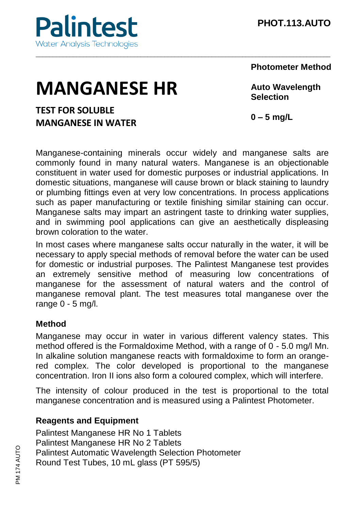#### **Photometer Method**

# **MANGANESE HR**

# **TEST FOR SOLUBLE MANGANESE IN WATER**

**Auto Wavelength Selection**

**0 – 5 mg/L**

Manganese-containing minerals occur widely and manganese salts are commonly found in many natural waters. Manganese is an objectionable constituent in water used for domestic purposes or industrial applications. In domestic situations, manganese will cause brown or black staining to laundry or plumbing fittings even at very low concentrations. In process applications such as paper manufacturing or textile finishing similar staining can occur. Manganese salts may impart an astringent taste to drinking water supplies, and in swimming pool applications can give an aesthetically displeasing brown coloration to the water.

\_\_\_\_\_\_\_\_\_\_\_\_\_\_\_\_\_\_\_\_\_\_\_\_\_\_\_\_\_\_\_\_\_\_\_\_\_\_\_\_\_\_\_\_\_\_\_\_\_\_\_\_\_\_\_\_\_\_\_\_\_\_\_\_\_\_\_\_\_\_\_\_\_\_\_\_\_\_\_\_\_\_\_\_\_\_\_

In most cases where manganese salts occur naturally in the water, it will be necessary to apply special methods of removal before the water can be used for domestic or industrial purposes. The Palintest Manganese test provides an extremely sensitive method of measuring low concentrations of manganese for the assessment of natural waters and the control of manganese removal plant. The test measures total manganese over the range  $0 - 5$  mg/l.

## **Method**

Manganese may occur in water in various different valency states. This method offered is the Formaldoxime Method, with a range of 0 - 5.0 mg/l Mn. In alkaline solution manganese reacts with formaldoxime to form an orangered complex. The color developed is proportional to the manganese concentration. Iron II ions also form a coloured complex, which will interfere.

The intensity of colour produced in the test is proportional to the total manganese concentration and is measured using a Palintest Photometer.

## **Reagents and Equipment**

Palintest Manganese HR No 1 Tablets Palintest Manganese HR No 2 Tablets Palintest Automatic Wavelength Selection Photometer Round Test Tubes, 10 mL glass (PT 595/5)